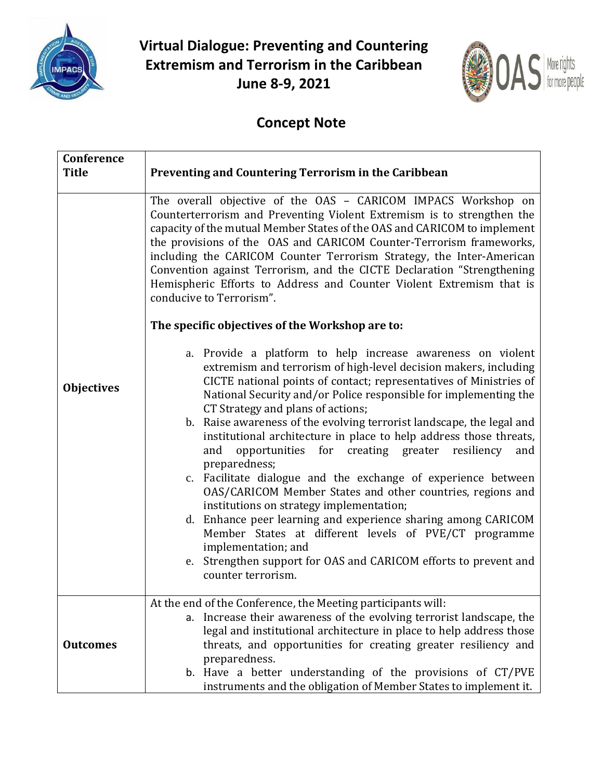

**Virtual Dialogue: Preventing and Countering Extremism and Terrorism in the Caribbean June 8-9, 2021**



## **Concept Note**

| Conference<br><b>Title</b> | Preventing and Countering Terrorism in the Caribbean                                                                                                                                                                                                                                                                                                                                                                                                                                                                                                                                                                                                                                                                                                                                                                                                                                                                                                                                                                                                                                                                                                                                                                                                                                                                                                                                                                                                                                                                                                                          |
|----------------------------|-------------------------------------------------------------------------------------------------------------------------------------------------------------------------------------------------------------------------------------------------------------------------------------------------------------------------------------------------------------------------------------------------------------------------------------------------------------------------------------------------------------------------------------------------------------------------------------------------------------------------------------------------------------------------------------------------------------------------------------------------------------------------------------------------------------------------------------------------------------------------------------------------------------------------------------------------------------------------------------------------------------------------------------------------------------------------------------------------------------------------------------------------------------------------------------------------------------------------------------------------------------------------------------------------------------------------------------------------------------------------------------------------------------------------------------------------------------------------------------------------------------------------------------------------------------------------------|
| <b>Objectives</b>          | The overall objective of the OAS - CARICOM IMPACS Workshop on<br>Counterterrorism and Preventing Violent Extremism is to strengthen the<br>capacity of the mutual Member States of the OAS and CARICOM to implement<br>the provisions of the OAS and CARICOM Counter-Terrorism frameworks,<br>including the CARICOM Counter Terrorism Strategy, the Inter-American<br>Convention against Terrorism, and the CICTE Declaration "Strengthening<br>Hemispheric Efforts to Address and Counter Violent Extremism that is<br>conducive to Terrorism".<br>The specific objectives of the Workshop are to:<br>a. Provide a platform to help increase awareness on violent<br>extremism and terrorism of high-level decision makers, including<br>CICTE national points of contact; representatives of Ministries of<br>National Security and/or Police responsible for implementing the<br>CT Strategy and plans of actions;<br>b. Raise awareness of the evolving terrorist landscape, the legal and<br>institutional architecture in place to help address those threats,<br>opportunities for creating greater<br>resiliency<br>and<br>and<br>preparedness;<br>c. Facilitate dialogue and the exchange of experience between<br>OAS/CARICOM Member States and other countries, regions and<br>institutions on strategy implementation;<br>d. Enhance peer learning and experience sharing among CARICOM<br>Member States at different levels of PVE/CT programme<br>implementation; and<br>e. Strengthen support for OAS and CARICOM efforts to prevent and<br>counter terrorism. |
| <b>Outcomes</b>            | At the end of the Conference, the Meeting participants will:<br>a. Increase their awareness of the evolving terrorist landscape, the<br>legal and institutional architecture in place to help address those<br>threats, and opportunities for creating greater resiliency and<br>preparedness.<br>b. Have a better understanding of the provisions of CT/PVE<br>instruments and the obligation of Member States to implement it.                                                                                                                                                                                                                                                                                                                                                                                                                                                                                                                                                                                                                                                                                                                                                                                                                                                                                                                                                                                                                                                                                                                                              |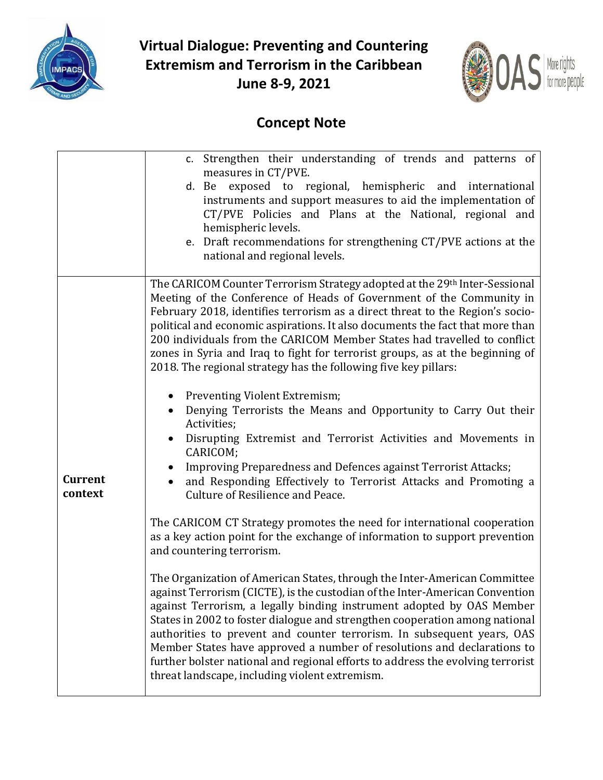

**Virtual Dialogue: Preventing and Countering Extremism and Terrorism in the Caribbean June 8-9, 2021**



## **Concept Note**

|                | c. Strengthen their understanding of trends and patterns of                                       |
|----------------|---------------------------------------------------------------------------------------------------|
|                | measures in CT/PVE.                                                                               |
|                | d. Be exposed to regional, hemispheric and international                                          |
|                | instruments and support measures to aid the implementation of                                     |
|                | CT/PVE Policies and Plans at the National, regional and                                           |
|                | hemispheric levels.                                                                               |
|                | e. Draft recommendations for strengthening CT/PVE actions at the<br>national and regional levels. |
|                |                                                                                                   |
|                | The CARICOM Counter Terrorism Strategy adopted at the 29th Inter-Sessional                        |
|                | Meeting of the Conference of Heads of Government of the Community in                              |
|                | February 2018, identifies terrorism as a direct threat to the Region's socio-                     |
|                | political and economic aspirations. It also documents the fact that more than                     |
|                | 200 individuals from the CARICOM Member States had travelled to conflict                          |
|                | zones in Syria and Iraq to fight for terrorist groups, as at the beginning of                     |
|                | 2018. The regional strategy has the following five key pillars:                                   |
|                |                                                                                                   |
|                | Preventing Violent Extremism;                                                                     |
|                | Denying Terrorists the Means and Opportunity to Carry Out their<br>Activities;                    |
|                | Disrupting Extremist and Terrorist Activities and Movements in<br>$\bullet$                       |
|                | CARICOM;                                                                                          |
|                | Improving Preparedness and Defences against Terrorist Attacks;<br>$\bullet$                       |
| <b>Current</b> | and Responding Effectively to Terrorist Attacks and Promoting a                                   |
| context        | Culture of Resilience and Peace.                                                                  |
|                |                                                                                                   |
|                | The CARICOM CT Strategy promotes the need for international cooperation                           |
|                | as a key action point for the exchange of information to support prevention                       |
|                | and countering terrorism.                                                                         |
|                | The Organization of American States, through the Inter-American Committee                         |
|                | against Terrorism (CICTE), is the custodian of the Inter-American Convention                      |
|                | against Terrorism, a legally binding instrument adopted by OAS Member                             |
|                | States in 2002 to foster dialogue and strengthen cooperation among national                       |
|                | authorities to prevent and counter terrorism. In subsequent years, OAS                            |
|                | Member States have approved a number of resolutions and declarations to                           |
|                | further bolster national and regional efforts to address the evolving terrorist                   |
|                | threat landscape, including violent extremism.                                                    |
|                |                                                                                                   |